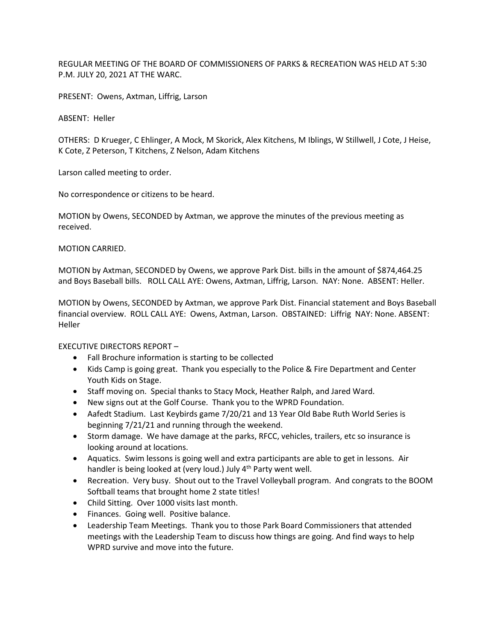REGULAR MEETING OF THE BOARD OF COMMISSIONERS OF PARKS & RECREATION WAS HELD AT 5:30 P.M. JULY 20, 2021 AT THE WARC.

PRESENT: Owens, Axtman, Liffrig, Larson

ABSENT: Heller

OTHERS: D Krueger, C Ehlinger, A Mock, M Skorick, Alex Kitchens, M Iblings, W Stillwell, J Cote, J Heise, K Cote, Z Peterson, T Kitchens, Z Nelson, Adam Kitchens

Larson called meeting to order.

No correspondence or citizens to be heard.

MOTION by Owens, SECONDED by Axtman, we approve the minutes of the previous meeting as received.

MOTION CARRIED.

MOTION by Axtman, SECONDED by Owens, we approve Park Dist. bills in the amount of \$874,464.25 and Boys Baseball bills. ROLL CALL AYE: Owens, Axtman, Liffrig, Larson. NAY: None. ABSENT: Heller.

MOTION by Owens, SECONDED by Axtman, we approve Park Dist. Financial statement and Boys Baseball financial overview. ROLL CALL AYE: Owens, Axtman, Larson. OBSTAINED: Liffrig NAY: None. ABSENT: Heller

EXECUTIVE DIRECTORS REPORT –

- Fall Brochure information is starting to be collected
- Kids Camp is going great. Thank you especially to the Police & Fire Department and Center Youth Kids on Stage.
- Staff moving on. Special thanks to Stacy Mock, Heather Ralph, and Jared Ward.
- New signs out at the Golf Course. Thank you to the WPRD Foundation.
- Aafedt Stadium. Last Keybirds game 7/20/21 and 13 Year Old Babe Ruth World Series is beginning 7/21/21 and running through the weekend.
- Storm damage. We have damage at the parks, RFCC, vehicles, trailers, etc so insurance is looking around at locations.
- Aquatics. Swim lessons is going well and extra participants are able to get in lessons. Air handler is being looked at (very loud.) July 4<sup>th</sup> Party went well.
- Recreation. Very busy. Shout out to the Travel Volleyball program. And congrats to the BOOM Softball teams that brought home 2 state titles!
- Child Sitting. Over 1000 visits last month.
- Finances. Going well. Positive balance.
- Leadership Team Meetings. Thank you to those Park Board Commissioners that attended meetings with the Leadership Team to discuss how things are going. And find ways to help WPRD survive and move into the future.